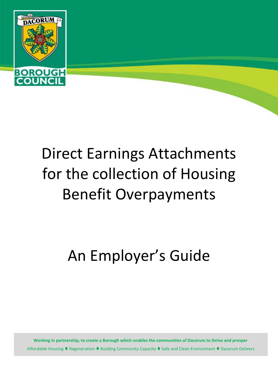

# Direct Earnings Attachments for the collection of Housing Benefit Overpayments

An Employer's Guide

**Working in partnership, to create a Borough which enables the communities of Dacorum to thrive and prosper** Affordable Housing  $\blacklozenge$  Regeneration  $\blacklozenge$  Building Community Capacity  $\blacklozenge$  Safe and Clean Environment  $\blacklozenge$  Dacorum Delivers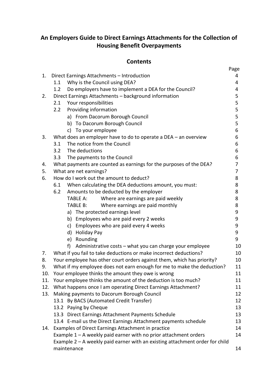## **An Employers Guide to Direct Earnings Attachments for the Collection of Housing Benefit Overpayments**

## **Contents**

|     |                                                                                | Page |
|-----|--------------------------------------------------------------------------------|------|
| 1.  | Direct Earnings Attachments - Introduction                                     | 4    |
|     | Why is the Council using DEA?<br>1.1                                           | 4    |
|     | Do employers have to implement a DEA for the Council?<br>1.2                   | 4    |
| 2.  | Direct Earnings Attachments - background information                           | 5    |
|     | Your responsibilities<br>2.1                                                   | 5    |
|     | Providing information<br>2.2                                                   | 5    |
|     | a) From Dacorum Borough Council                                                | 5    |
|     | b) To Dacorum Borough Council                                                  | 5    |
|     | c) To your employee                                                            | 6    |
| 3.  | What does an employer have to do to operate a DEA $-$ an overview              | 6    |
|     | The notice from the Council<br>3.1                                             | 6    |
|     | The deductions<br>3.2                                                          | 6    |
|     | The payments to the Council<br>3.3                                             | 6    |
| 4.  | What payments are counted as earnings for the purposes of the DEA?             | 7    |
| 5.  | What are net earnings?                                                         | 7    |
| 6.  | How do I work out the amount to deduct?                                        | 8    |
|     | When calculating the DEA deductions amount, you must:<br>6.1                   | 8    |
|     | Amounts to be deducted by the employer<br>6.2                                  | 8    |
|     | Where are earnings are paid weekly<br><b>TABLE A:</b>                          | 8    |
|     | Where earnings are paid monthly<br>TABLE B:                                    | 8    |
|     | a) The protected earnings level                                                | 9    |
|     | b) Employees who are paid every 2 weeks                                        | 9    |
|     | Employees who are paid every 4 weeks<br>c)                                     | 9    |
|     | d) Holiday Pay                                                                 | 9    |
|     | e) Rounding                                                                    | 9    |
|     | f)<br>Administrative costs - what you can charge your employee                 | 10   |
| 7.  | What if you fail to take deductions or make incorrect deductions?              | 10   |
| 8.  | Your employee has other court orders against them, which has priority?         | 10   |
| 9.  | What if my employee does not earn enough for me to make the deduction?         | 11   |
| 10. | Your employee thinks the amount they owe is wrong                              | 11   |
|     | 11. Your employee thinks the amount of the deduction is too much?              | 11   |
| 12. | What happens once I am operating Direct Earnings Attachment?                   | 11   |
| 13. | Making payments to Dacorum Borough Council                                     | 12   |
|     | 13.1 By BACS (Automated Credit Transfer)                                       | 12   |
|     | 13.2 Paying by Cheque                                                          | 13   |
|     | 13.3 Direct Earnings Attachment Payments Schedule                              | 13   |
|     | 13.4 E-mail us the Direct Earnings Attachment payments schedule                | 13   |
| 14. | Examples of Direct Earnings Attachment in practice                             | 14   |
|     | Example 1 - A weekly paid earner with no prior attachment orders               | 14   |
|     | Example $2 - A$ weekly paid earner with an existing attachment order for child |      |
|     | maintenance                                                                    | 14   |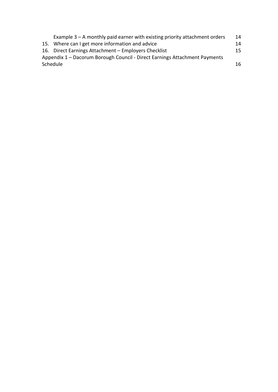|                                                                            | Example $3 - A$ monthly paid earner with existing priority attachment orders | 14  |
|----------------------------------------------------------------------------|------------------------------------------------------------------------------|-----|
|                                                                            | 15. Where can I get more information and advice                              | 14  |
|                                                                            | 16. Direct Earnings Attachment - Employers Checklist                         | 15. |
| Appendix 1 - Dacorum Borough Council - Direct Earnings Attachment Payments |                                                                              |     |
| Schedule                                                                   |                                                                              | 16. |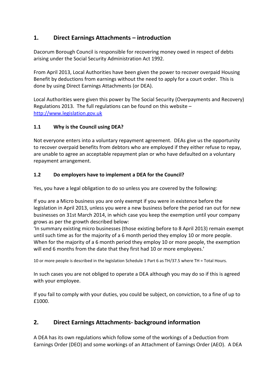## **1. Direct Earnings Attachments – introduction**

Dacorum Borough Council is responsible for recovering money owed in respect of debts arising under the Social Security Administration Act 1992.

From April 2013, Local Authorities have been given the power to recover overpaid Housing Benefit by deductions from earnings without the need to apply for a court order. This is done by using Direct Earnings Attachments (or DEA).

Local Authorities were given this power by The Social Security (Overpayments and Recovery) Regulations 2013. The full regulations can be found on this website – [http://www.legislation.gov.uk](http://www.legislation.gov.uk/)

#### **1.1 Why is the Council using DEA?**

Not everyone enters into a voluntary repayment agreement. DEAs give us the opportunity to recover overpaid benefits from debtors who are employed if they either refuse to repay, are unable to agree an acceptable repayment plan or who have defaulted on a voluntary repayment arrangement.

#### **1.2 Do employers have to implement a DEA for the Council?**

Yes, you have a legal obligation to do so unless you are covered by the following:

If you are a Micro business you are only exempt if you were in existence before the legislation in April 2013, unless you were a new business before the period ran out for new businesses on 31st March 2014, in which case you keep the exemption until your company grows as per the growth described below:

'In summary existing micro businesses (those existing before to 8 April 2013) remain exempt until such time as for the majority of a 6 month period they employ 10 or more people. When for the majority of a 6 month period they employ 10 or more people, the exemption will end 6 months from the date that they first had 10 or more employees.'

10 or more people is described in the legislation Schedule 1 Part 6 as TH/37.5 where TH = Total Hours.

In such cases you are not obliged to operate a DEA although you may do so if this is agreed with your employee.

If you fail to comply with your duties, you could be subject, on conviction, to a fine of up to £1000.

## **2. Direct Earnings Attachments- background information**

A DEA has its own regulations which follow some of the workings of a Deduction from Earnings Order (DEO) and some workings of an Attachment of Earnings Order (AEO). A DEA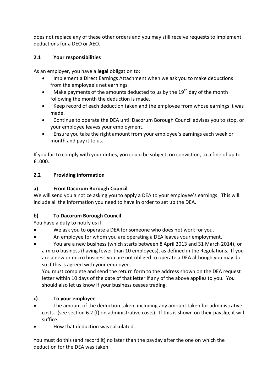does not replace any of these other orders and you may still receive requests to implement deductions for a DEO or AEO.

#### **2.1 Your responsibilities**

As an employer, you have a **legal** obligation to:

- Implement a Direct Earnings Attachment when we ask you to make deductions from the employee's net earnings.
- $\bullet$  Make payments of the amounts deducted to us by the 19<sup>th</sup> day of the month following the month the deduction is made.
- Keep record of each deduction taken and the employee from whose earnings it was made.
- Continue to operate the DEA until Dacorum Borough Council advises you to stop, or your employee leaves your employment.
- Ensure you take the right amount from your employee's earnings each week or month and pay it to us.

If you fail to comply with your duties, you could be subject, on conviction, to a fine of up to £1000.

## **2.2 Providing information**

## **a) From Dacorum Borough Council**

We will send you a notice asking you to apply a DEA to your employee's earnings. This will include all the information you need to have in order to set up the DEA.

## **b) To Dacorum Borough Council**

You have a duty to notify us if:

- We ask you to operate a DEA for someone who does not work for you.
- An employee for whom you are operating a DEA leaves your employment.
- You are a new business (which starts between 8 April 2013 and 31 March 2014), or a micro business (having fewer than 10 employees), as defined in the Regulations. If you are a new or micro business you are not obliged to operate a DEA although you may do so if this is agreed with your employee.

You must complete and send the return form to the address shown on the DEA request letter within 10 days of the date of that letter if any of the above applies to you. You should also let us know if your business ceases trading.

## **c) To your employee**

- The amount of the deduction taken, including any amount taken for administrative costs. (see section 6.2 (f) on administrative costs). If this is shown on their payslip, it will suffice.
- How that deduction was calculated.

You must do this (and record it) no later than the payday after the one on which the deduction for the DEA was taken.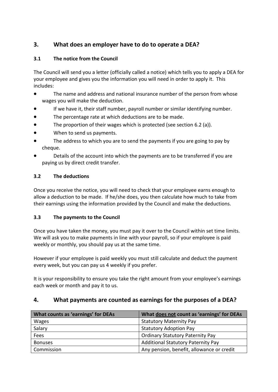## **3. What does an employer have to do to operate a DEA?**

#### **3.1 The notice from the Council**

The Council will send you a letter (officially called a notice) which tells you to apply a DEA for your employee and gives you the information you will need in order to apply it. This includes:

- The name and address and national insurance number of the person from whose wages you will make the deduction.
- If we have it, their staff number, payroll number or similar identifying number.
- The percentage rate at which deductions are to be made.
- The proportion of their wages which is protected (see section 6.2 (a)).
- When to send us payments.
- The address to which you are to send the payments if you are going to pay by cheque.
- Details of the account into which the payments are to be transferred if you are paying us by direct credit transfer.

#### **3.2 The deductions**

Once you receive the notice, you will need to check that your employee earns enough to allow a deduction to be made. If he/she does, you then calculate how much to take from their earnings using the information provided by the Council and make the deductions.

#### **3.3 The payments to the Council**

Once you have taken the money, you must pay it over to the Council within set time limits. We will ask you to make payments in line with your payroll, so if your employee is paid weekly or monthly, you should pay us at the same time.

However if your employee is paid weekly you must still calculate and deduct the payment every week, but you can pay us 4 weekly if you prefer.

It is your responsibility to ensure you take the right amount from your employee's earnings each week or month and pay it to us.

## **4. What payments are counted as earnings for the purposes of a DEA?**

| What counts as 'earnings' for DEAs | What does not count as 'earnings' for DEAs |
|------------------------------------|--------------------------------------------|
| Wages                              | <b>Statutory Maternity Pay</b>             |
| Salary                             | <b>Statutory Adoption Pay</b>              |
| Fees                               | <b>Ordinary Statutory Paternity Pay</b>    |
| <b>Bonuses</b>                     | <b>Additional Statutory Paternity Pay</b>  |
| Commission                         | Any pension, benefit, allowance or credit  |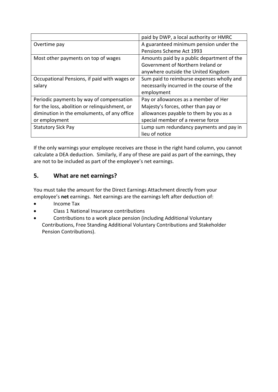|                                               | paid by DWP, a local authority or HMRC     |
|-----------------------------------------------|--------------------------------------------|
| Overtime pay                                  | A guaranteed minimum pension under the     |
|                                               | Pensions Scheme Act 1993                   |
| Most other payments on top of wages           | Amounts paid by a public department of the |
|                                               | Government of Northern Ireland or          |
|                                               | anywhere outside the United Kingdom        |
| Occupational Pensions, if paid with wages or  | Sum paid to reimburse expenses wholly and  |
| salary                                        | necessarily incurred in the course of the  |
|                                               | employment                                 |
| Periodic payments by way of compensation      | Pay or allowances as a member of Her       |
| for the loss, abolition or relinguishment, or | Majesty's forces, other than pay or        |
| diminution in the emoluments, of any office   | allowances payable to them by you as a     |
| or employment                                 | special member of a reverse force          |
| <b>Statutory Sick Pay</b>                     | Lump sum redundancy payments and pay in    |
|                                               | lieu of notice                             |

If the only warnings your employee receives are those in the right hand column, you cannot calculate a DEA deduction. Similarly, if any of these are paid as part of the earnings, they are not to be included as part of the employee's net earnings.

## **5. What are net earnings?**

You must take the amount for the Direct Earnings Attachment directly from your employee's **net** earnings. Net earnings are the earnings left after deduction of:

- Income Tax
- Class 1 National Insurance contributions
- Contributions to a work place pension (including Additional Voluntary Contributions, Free Standing Additional Voluntary Contributions and Stakeholder Pension Contributions).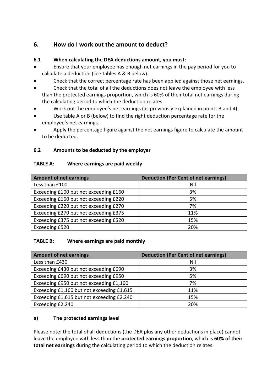## **6. How do I work out the amount to deduct?**

#### **6.1 When calculating the DEA deductions amount, you must:**

- Ensure that your employee has enough net earnings in the pay period for you to calculate a deduction (see tables A & B below).
- Check that the correct percentage rate has been applied against those net earnings.
- Check that the total of all the deductions does not leave the employee with less than the protected earnings proportion, which is 60% of their total net earnings during the calculating period to which the deduction relates.
- Work out the employee's net earnings (as previously explained in points 3 and 4).
- Use table A or B (below) to find the right deduction percentage rate for the employee's net earnings.
- Apply the percentage figure against the net earnings figure to calculate the amount to be deducted.

#### **6.2 Amounts to be deducted by the employer**

#### **TABLE A: Where earnings are paid weekly**

| <b>Amount of net earnings</b>         | <b>Deduction (Per Cent of net earnings)</b> |
|---------------------------------------|---------------------------------------------|
| Less than £100                        | Nil                                         |
| Exceeding £100 but not exceeding £160 | 3%                                          |
| Exceeding £160 but not exceeding £220 | 5%                                          |
| Exceeding £220 but not exceeding £270 | 7%                                          |
| Exceeding £270 but not exceeding £375 | 11%                                         |
| Exceeding £375 but not exceeding £520 | 15%                                         |
| Exceeding £520                        | 20%                                         |

#### **TABLE B: Where earnings are paid monthly**

| <b>Amount of net earnings</b>             | <b>Deduction (Per Cent of net earnings)</b> |
|-------------------------------------------|---------------------------------------------|
| Less than £430                            | Nil                                         |
| Exceeding £430 but not exceeding £690     | 3%                                          |
| Exceeding £690 but not exceeding £950     | 5%                                          |
| Exceeding £950 but not exceeding £1,160   | 7%                                          |
| Exceeding £1,160 but not exceeding £1,615 | 11%                                         |
| Exceeding £1,615 but not exceeding £2,240 | 15%                                         |
| Exceeding £2,240                          | 20%                                         |

#### **a) The protected earnings level**

Please note: the total of all deductions (the DEA plus any other deductions in place) cannot leave the employee with less than the **protected earnings proportion**, which is **60% of their total net earnings** during the calculating period to which the deduction relates.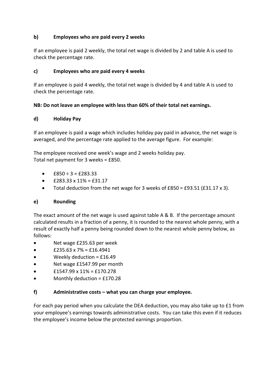#### **b) Employees who are paid every 2 weeks**

If an employee is paid 2 weekly, the total net wage is divided by 2 and table A is used to check the percentage rate.

#### **c) Employees who are paid every 4 weeks**

If an employee is paid 4 weekly, the total net wage is divided by 4 and table A is used to check the percentage rate.

#### **NB: Do not leave an employee with less than 60% of their total net earnings.**

#### **d) Holiday Pay**

If an employee is paid a wage which includes holiday pay paid in advance, the net wage is averaged, and the percentage rate applied to the average figure. For example:

The employee received one week's wage and 2 weeks holiday pay. Total net payment for 3 weeks = £850.

- $f850 \div 3 = f283.33$
- $\bullet$  £283.33 x 11% = £31.17
- Total deduction from the net wage for 3 weeks of £850 = £93.51 (£31.17 x 3).

#### **e) Rounding**

The exact amount of the net wage is used against table A & B. If the percentage amount calculated results in a fraction of a penny, it is rounded to the nearest whole penny, with a result of exactly half a penny being rounded down to the nearest whole penny below, as follows:

- Net wage £235.63 per week
- $\bullet$  £235.63 x 7% = £16.4941
- Weekly deduction = £16.49
- Net wage £1547.99 per month
- £1547.99 x 11% = £170.278
- Monthly deduction = £170.28

#### **f) Administrative costs – what you can charge your employee.**

For each pay period when you calculate the DEA deduction, you may also take up to £1 from your employee's earnings towards administrative costs. You can take this even if it reduces the employee's income below the protected earnings proportion.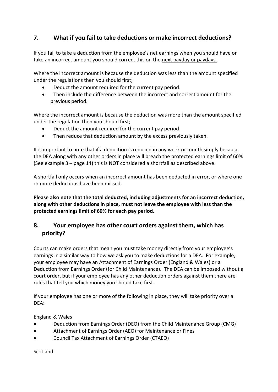## **7. What if you fail to take deductions or make incorrect deductions?**

If you fail to take a deduction from the employee's net earnings when you should have or take an incorrect amount you should correct this on the next payday or paydays.

Where the incorrect amount is because the deduction was less than the amount specified under the regulations then you should first;

- Deduct the amount required for the current pay period.
- Then include the difference between the incorrect and correct amount for the previous period.

Where the incorrect amount is because the deduction was more than the amount specified under the regulation then you should first;

- Deduct the amount required for the current pay period.
- Then reduce that deduction amount by the excess previously taken.

It is important to note that if a deduction is reduced in any week or month simply because the DEA along with any other orders in place will breach the protected earnings limit of 60% (See example 3 – page 14) this is NOT considered a shortfall as described above.

A shortfall only occurs when an incorrect amount has been deducted in error, or where one or more deductions have been missed.

**Please also note that the total deducted, including adjustments for an incorrect deduction, along with other deductions in place, must not leave the employee with less than the protected earnings limit of 60% for each pay period.**

## **8. Your employee has other court orders against them, which has priority?**

Courts can make orders that mean you must take money directly from your employee's earnings in a similar way to how we ask you to make deductions for a DEA. For example, your employee may have an Attachment of Earnings Order (England & Wales) or a Deduction from Earnings Order (for Child Maintenance). The DEA can be imposed without a court order, but if your employee has any other deduction orders against them there are rules that tell you which money you should take first.

If your employee has one or more of the following in place, they will take priority over a DEA:

England & Wales

- Deduction from Earnings Order (DEO) from the Child Maintenance Group (CMG)
- Attachment of Earnings Order (AEO) for Maintenance or Fines
- Council Tax Attachment of Earnings Order (CTAEO)

Scotland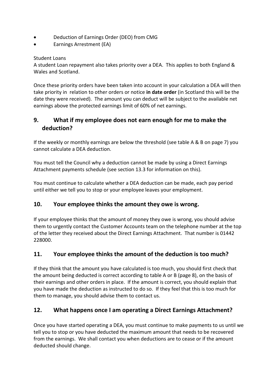- Deduction of Earnings Order (DEO) from CMG
- Earnings Arrestment (EA)

#### Student Loans

A student Loan repayment also takes priority over a DEA. This applies to both England & Wales and Scotland.

Once these priority orders have been taken into account in your calculation a DEA will then take priority in relation to other orders or notice **in date order** (in Scotland this will be the date they were received). The amount you can deduct will be subject to the available net earnings above the protected earnings limit of 60% of net earnings.

## **9. What if my employee does not earn enough for me to make the deduction?**

If the weekly or monthly earnings are below the threshold (see table A & B on page 7) you cannot calculate a DEA deduction.

You must tell the Council why a deduction cannot be made by using a Direct Earnings Attachment payments schedule (see section 13.3 for information on this).

You must continue to calculate whether a DEA deduction can be made, each pay period until either we tell you to stop or your employee leaves your employment.

## **10. Your employee thinks the amount they owe is wrong.**

If your employee thinks that the amount of money they owe is wrong, you should advise them to urgently contact the Customer Accounts team on the telephone number at the top of the letter they received about the Direct Earnings Attachment. That number is 01442 228000.

## **11. Your employee thinks the amount of the deduction is too much?**

If they think that the amount you have calculated is too much, you should first check that the amount being deducted is correct according to table A or B (page 8), on the basis of their earnings and other orders in place. If the amount is correct, you should explain that you have made the deduction as instructed to do so. If they feel that this is too much for them to manage, you should advise them to contact us.

## **12. What happens once I am operating a Direct Earnings Attachment?**

Once you have started operating a DEA, you must continue to make payments to us until we tell you to stop or you have deducted the maximum amount that needs to be recovered from the earnings. We shall contact you when deductions are to cease or if the amount deducted should change.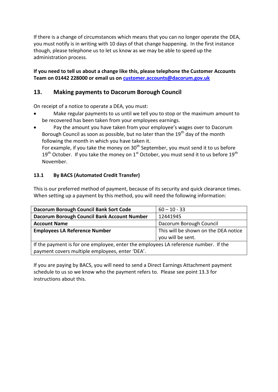If there is a change of circumstances which means that you can no longer operate the DEA, you must notify is in writing with 10 days of that change happening. In the first instance though, please telephone us to let us know as we may be able to speed up the administration process.

#### **If you need to tell us about a change like this, please telephone the Customer Accounts Team on 01442 228000 or email us o[n customer.accounts@dacorum.gov.uk](mailto:customer.accounts@dacorum.gov.uk)**

## **13. Making payments to Dacorum Borough Council**

On receipt of a notice to operate a DEA, you must:

- Make regular payments to us until we tell you to stop or the maximum amount to be recovered has been taken from your employees earnings.
- Pay the amount you have taken from your employee's wages over to Dacorum Borough Council as soon as possible, but no later than the  $19<sup>th</sup>$  day of the month following the month in which you have taken it.

For example, if you take the money on  $30<sup>th</sup>$  September, you must send it to us before  $19<sup>th</sup>$  October. If you take the money on  $1<sup>st</sup>$  October, you must send it to us before  $19<sup>th</sup>$ November.

## **13.1 By BACS (Automated Credit Transfer)**

This is our preferred method of payment, because of its security and quick clearance times. When setting up a payment by this method, you will need the following information:

| Dacorum Borough Council Bank Sort Code                                              | $60 - 10 - 33$                       |  |
|-------------------------------------------------------------------------------------|--------------------------------------|--|
| Dacorum Borough Council Bank Account Number                                         | 12441945                             |  |
| <b>Account Name</b>                                                                 | Dacorum Borough Council              |  |
| <b>Employees LA Reference Number</b>                                                | This will be shown on the DEA notice |  |
|                                                                                     | you will be sent.                    |  |
| If the payment is for one employee, enter the employees LA reference number. If the |                                      |  |
| payment covers multiple employees, enter 'DEA'.                                     |                                      |  |

If you are paying by BACS, you will need to send a Direct Earnings Attachment payment schedule to us so we know who the payment refers to. Please see point 13.3 for instructions about this.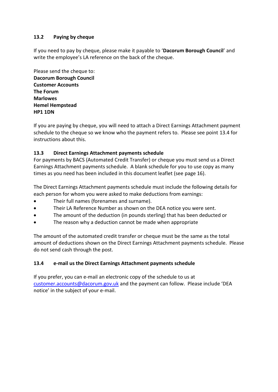#### **13.2 Paying by cheque**

If you need to pay by cheque, please make it payable to '**Dacorum Borough Council**' and write the employee's LA reference on the back of the cheque.

Please send the cheque to: **Dacorum Borough Council Customer Accounts The Forum Marlowes Hemel Hempstead HP1 1DN**

If you are paying by cheque, you will need to attach a Direct Earnings Attachment payment schedule to the cheque so we know who the payment refers to. Please see point 13.4 for instructions about this.

#### **13.3 Direct Earnings Attachment payments schedule**

For payments by BACS (Automated Credit Transfer) or cheque you must send us a Direct Earnings Attachment payments schedule. A blank schedule for you to use copy as many times as you need has been included in this document leaflet (see page 16).

The Direct Earnings Attachment payments schedule must include the following details for each person for whom you were asked to make deductions from earnings:

- Their full names (forenames and surname).
- Their LA Reference Number as shown on the DEA notice you were sent.
- The amount of the deduction (in pounds sterling) that has been deducted or
- The reason why a deduction cannot be made when appropriate

The amount of the automated credit transfer or cheque must be the same as the total amount of deductions shown on the Direct Earnings Attachment payments schedule. Please do not send cash through the post.

#### **13.4 e-mail us the Direct Earnings Attachment payments schedule**

If you prefer, you can e-mail an electronic copy of the schedule to us at [customer.accounts@dacorum.gov.uk](mailto:customer.accounts@dacorum.gov.uk) and the payment can follow. Please include 'DEA notice' in the subject of your e-mail.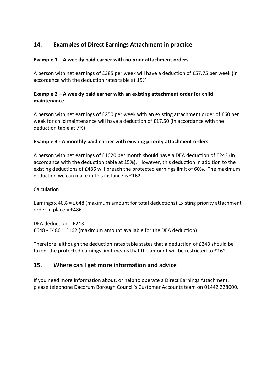## **14. Examples of Direct Earnings Attachment in practice**

#### **Example 1 – A weekly paid earner with no prior attachment orders**

A person with net earnings of £385 per week will have a deduction of £57.75 per week (in accordance with the deduction rates table at 15%

#### **Example 2 – A weekly paid earner with an existing attachment order for child maintenance**

A person with net earnings of £250 per week with an existing attachment order of £60 per week for child maintenance will have a deduction of £17.50 (in accordance with the deduction table at 7%)

#### **Example 3 - A monthly paid earner with existing priority attachment orders**

A person with net earnings of £1620 per month should have a DEA deduction of £243 (in accordance with the deduction table at 15%). However, this deduction in addition to the existing deductions of £486 will breach the protected earnings limit of 60%. The maximum deduction we can make in this instance is £162.

Calculation

Earnings x 40% = £648 (maximum amount for total deductions) Existing priority attachment order in place = £486

DEA deduction = £243 £648 - £486 = £162 (maximum amount available for the DEA deduction)

Therefore, although the deduction rates table states that a deduction of £243 should be taken, the protected earnings limit means that the amount will be restricted to £162.

## **15. Where can I get more information and advice**

If you need more information about, or help to operate a Direct Earnings Attachment, please telephone Dacorum Borough Council's Customer Accounts team on 01442 228000.